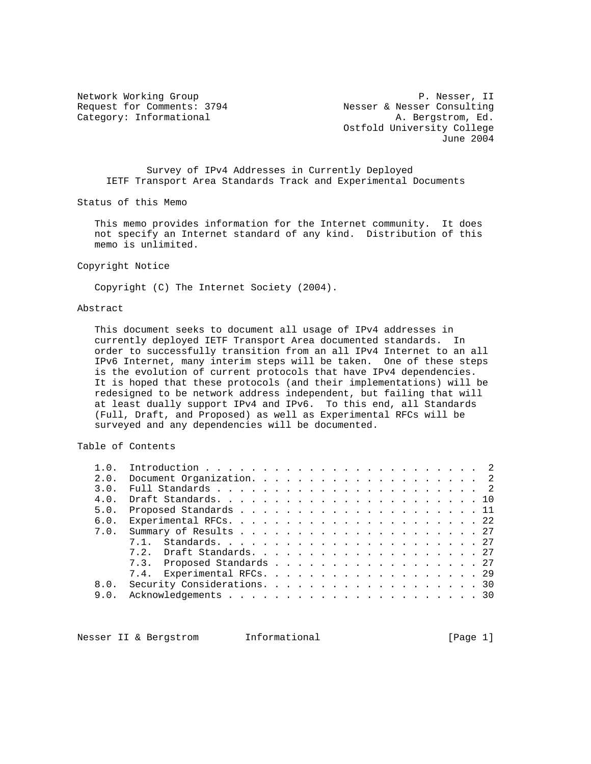Network Working Group P. Nesser, II<br>Request for Comments: 3794 Nesser & Nesser Consulting Request for Comments: 3794 Nesser & Nesser Consulting Category: Informational  $A.$  Bergstrom, Ed. Ostfold University College June 2004

 Survey of IPv4 Addresses in Currently Deployed IETF Transport Area Standards Track and Experimental Documents

Status of this Memo

 This memo provides information for the Internet community. It does not specify an Internet standard of any kind. Distribution of this memo is unlimited.

Copyright Notice

Copyright (C) The Internet Society (2004).

#### Abstract

 This document seeks to document all usage of IPv4 addresses in currently deployed IETF Transport Area documented standards. In order to successfully transition from an all IPv4 Internet to an all IPv6 Internet, many interim steps will be taken. One of these steps is the evolution of current protocols that have IPv4 dependencies. It is hoped that these protocols (and their implementations) will be redesigned to be network address independent, but failing that will at least dually support IPv4 and IPv6. To this end, all Standards (Full, Draft, and Proposed) as well as Experimental RFCs will be surveyed and any dependencies will be documented.

## Table of Contents

| 1.0. |                             |
|------|-----------------------------|
| 2.0. |                             |
| 3.0. |                             |
| 4.0. |                             |
|      |                             |
| 6.0. |                             |
|      |                             |
|      |                             |
|      |                             |
|      | 7.3. Proposed Standards 27  |
|      | 7.4. Experimental RFCs. 29  |
| 8.0. | Security Considerations. 30 |
|      |                             |
|      |                             |

Nesser II & Bergstrom Informational (Page 1)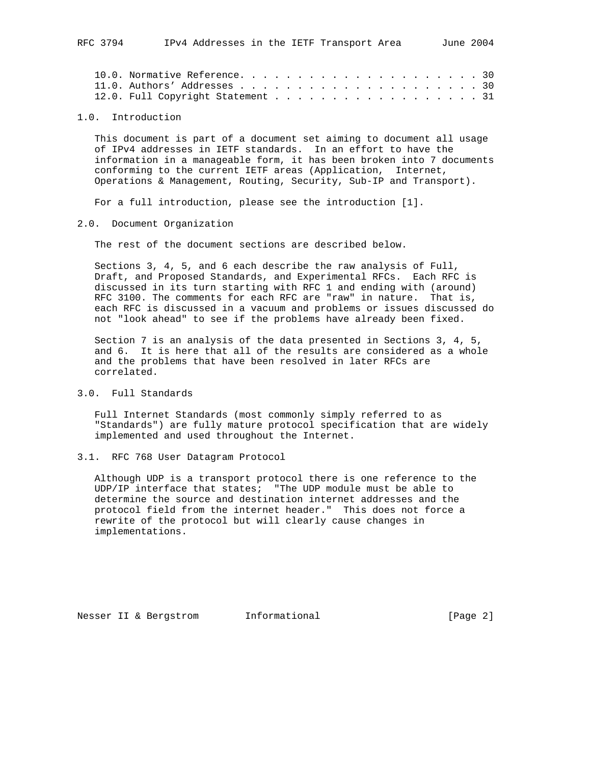|  | 12.0. Full Copyright Statement 31 |  |  |  |  |  |  |  |  |  |  |  |  |
|--|-----------------------------------|--|--|--|--|--|--|--|--|--|--|--|--|

#### 1.0. Introduction

 This document is part of a document set aiming to document all usage of IPv4 addresses in IETF standards. In an effort to have the information in a manageable form, it has been broken into 7 documents conforming to the current IETF areas (Application, Internet, Operations & Management, Routing, Security, Sub-IP and Transport).

For a full introduction, please see the introduction [1].

#### 2.0. Document Organization

The rest of the document sections are described below.

 Sections 3, 4, 5, and 6 each describe the raw analysis of Full, Draft, and Proposed Standards, and Experimental RFCs. Each RFC is discussed in its turn starting with RFC 1 and ending with (around) RFC 3100. The comments for each RFC are "raw" in nature. That is, each RFC is discussed in a vacuum and problems or issues discussed do not "look ahead" to see if the problems have already been fixed.

 Section 7 is an analysis of the data presented in Sections 3, 4, 5, and 6. It is here that all of the results are considered as a whole and the problems that have been resolved in later RFCs are correlated.

## 3.0. Full Standards

 Full Internet Standards (most commonly simply referred to as "Standards") are fully mature protocol specification that are widely implemented and used throughout the Internet.

#### 3.1. RFC 768 User Datagram Protocol

 Although UDP is a transport protocol there is one reference to the UDP/IP interface that states; "The UDP module must be able to determine the source and destination internet addresses and the protocol field from the internet header." This does not force a rewrite of the protocol but will clearly cause changes in implementations.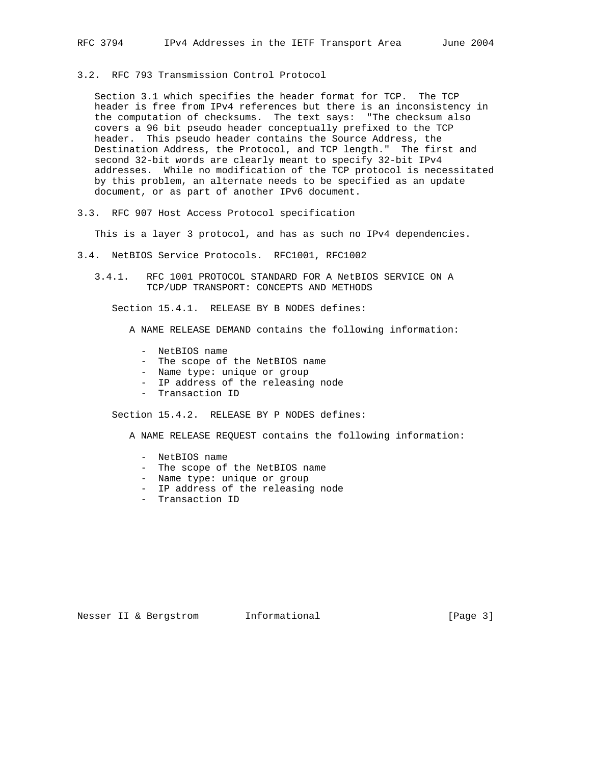### 3.2. RFC 793 Transmission Control Protocol

 Section 3.1 which specifies the header format for TCP. The TCP header is free from IPv4 references but there is an inconsistency in the computation of checksums. The text says: "The checksum also covers a 96 bit pseudo header conceptually prefixed to the TCP header. This pseudo header contains the Source Address, the Destination Address, the Protocol, and TCP length." The first and second 32-bit words are clearly meant to specify 32-bit IPv4 addresses. While no modification of the TCP protocol is necessitated by this problem, an alternate needs to be specified as an update document, or as part of another IPv6 document.

#### 3.3. RFC 907 Host Access Protocol specification

This is a layer 3 protocol, and has as such no IPv4 dependencies.

- 3.4. NetBIOS Service Protocols. RFC1001, RFC1002
	- 3.4.1. RFC 1001 PROTOCOL STANDARD FOR A NetBIOS SERVICE ON A TCP/UDP TRANSPORT: CONCEPTS AND METHODS

Section 15.4.1. RELEASE BY B NODES defines:

A NAME RELEASE DEMAND contains the following information:

- NetBIOS name
- The scope of the NetBIOS name
- Name type: unique or group
- IP address of the releasing node
- Transaction ID

Section 15.4.2. RELEASE BY P NODES defines:

A NAME RELEASE REQUEST contains the following information:

- NetBIOS name
- The scope of the NetBIOS name
- Name type: unique or group
- IP address of the releasing node
- Transaction ID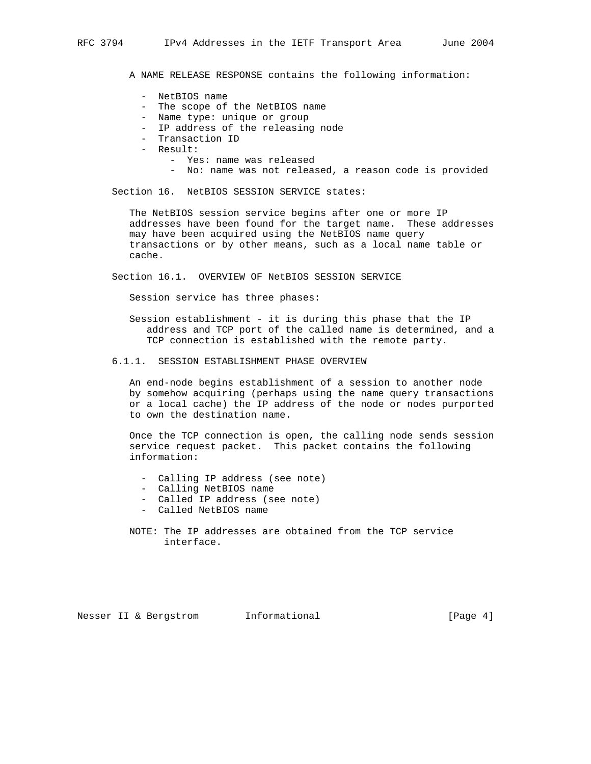A NAME RELEASE RESPONSE contains the following information:

- NetBIOS name
- The scope of the NetBIOS name
- Name type: unique or group
- IP address of the releasing node
- Transaction ID
- Result:
	- Yes: name was released
	- No: name was not released, a reason code is provided

Section 16. NetBIOS SESSION SERVICE states:

 The NetBIOS session service begins after one or more IP addresses have been found for the target name. These addresses may have been acquired using the NetBIOS name query transactions or by other means, such as a local name table or cache.

Section 16.1. OVERVIEW OF NetBIOS SESSION SERVICE

Session service has three phases:

- Session establishment it is during this phase that the IP address and TCP port of the called name is determined, and a TCP connection is established with the remote party.
- 6.1.1. SESSION ESTABLISHMENT PHASE OVERVIEW

 An end-node begins establishment of a session to another node by somehow acquiring (perhaps using the name query transactions or a local cache) the IP address of the node or nodes purported to own the destination name.

 Once the TCP connection is open, the calling node sends session service request packet. This packet contains the following information:

- Calling IP address (see note)
- Calling NetBIOS name
- Called IP address (see note)
- Called NetBIOS name

 NOTE: The IP addresses are obtained from the TCP service interface.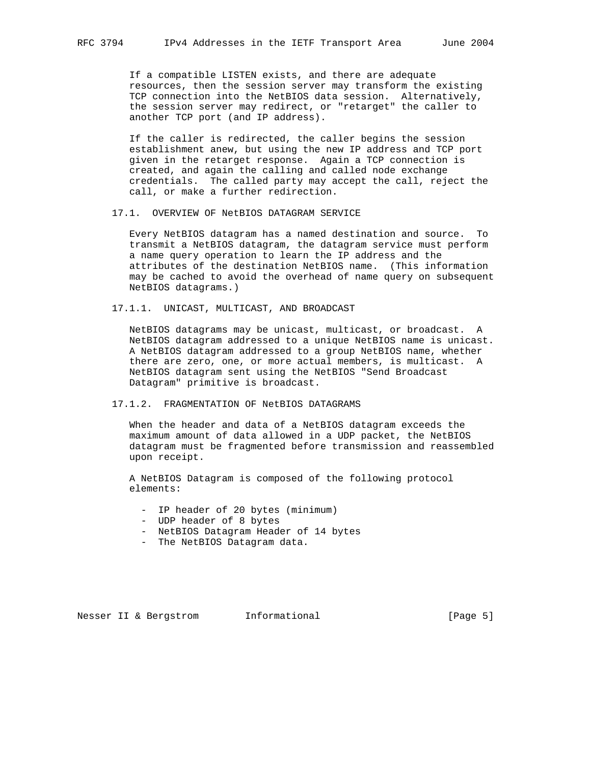If a compatible LISTEN exists, and there are adequate resources, then the session server may transform the existing TCP connection into the NetBIOS data session. Alternatively, the session server may redirect, or "retarget" the caller to another TCP port (and IP address).

 If the caller is redirected, the caller begins the session establishment anew, but using the new IP address and TCP port given in the retarget response. Again a TCP connection is created, and again the calling and called node exchange credentials. The called party may accept the call, reject the call, or make a further redirection.

17.1. OVERVIEW OF NetBIOS DATAGRAM SERVICE

 Every NetBIOS datagram has a named destination and source. To transmit a NetBIOS datagram, the datagram service must perform a name query operation to learn the IP address and the attributes of the destination NetBIOS name. (This information may be cached to avoid the overhead of name query on subsequent NetBIOS datagrams.)

17.1.1. UNICAST, MULTICAST, AND BROADCAST

 NetBIOS datagrams may be unicast, multicast, or broadcast. A NetBIOS datagram addressed to a unique NetBIOS name is unicast. A NetBIOS datagram addressed to a group NetBIOS name, whether there are zero, one, or more actual members, is multicast. A NetBIOS datagram sent using the NetBIOS "Send Broadcast Datagram" primitive is broadcast.

#### 17.1.2. FRAGMENTATION OF NetBIOS DATAGRAMS

 When the header and data of a NetBIOS datagram exceeds the maximum amount of data allowed in a UDP packet, the NetBIOS datagram must be fragmented before transmission and reassembled upon receipt.

 A NetBIOS Datagram is composed of the following protocol elements:

- IP header of 20 bytes (minimum)
- UDP header of 8 bytes
- NetBIOS Datagram Header of 14 bytes
- The NetBIOS Datagram data.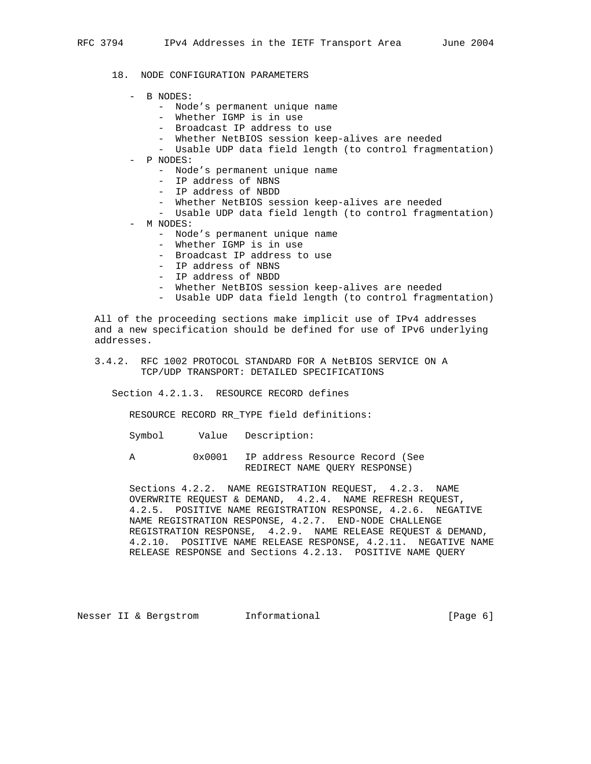- 18. NODE CONFIGURATION PARAMETERS
	- B NODES:
		- Node's permanent unique name
		- Whether IGMP is in use
		- Broadcast IP address to use
		- Whether NetBIOS session keep-alives are needed
		- Usable UDP data field length (to control fragmentation)
	- P NODES:
		- Node's permanent unique name
		- IP address of NBNS
		- IP address of NBDD
		- Whether NetBIOS session keep-alives are needed
		- Usable UDP data field length (to control fragmentation)
	- M NODES:
		- Node's permanent unique name
		- Whether IGMP is in use
		- Broadcast IP address to use
		- IP address of NBNS
		- IP address of NBDD
		- Whether NetBIOS session keep-alives are needed
		- Usable UDP data field length (to control fragmentation)

 All of the proceeding sections make implicit use of IPv4 addresses and a new specification should be defined for use of IPv6 underlying addresses.

 3.4.2. RFC 1002 PROTOCOL STANDARD FOR A NetBIOS SERVICE ON A TCP/UDP TRANSPORT: DETAILED SPECIFICATIONS

Section 4.2.1.3. RESOURCE RECORD defines

RESOURCE RECORD RR\_TYPE field definitions:

Symbol Value Description:

 A 0x0001 IP address Resource Record (See REDIRECT NAME QUERY RESPONSE)

 Sections 4.2.2. NAME REGISTRATION REQUEST, 4.2.3. NAME OVERWRITE REQUEST & DEMAND, 4.2.4. NAME REFRESH REQUEST, 4.2.5. POSITIVE NAME REGISTRATION RESPONSE, 4.2.6. NEGATIVE NAME REGISTRATION RESPONSE, 4.2.7. END-NODE CHALLENGE REGISTRATION RESPONSE, 4.2.9. NAME RELEASE REQUEST & DEMAND, 4.2.10. POSITIVE NAME RELEASE RESPONSE, 4.2.11. NEGATIVE NAME RELEASE RESPONSE and Sections 4.2.13. POSITIVE NAME QUERY

Nesser II & Bergstrom 1nformational (Page 6)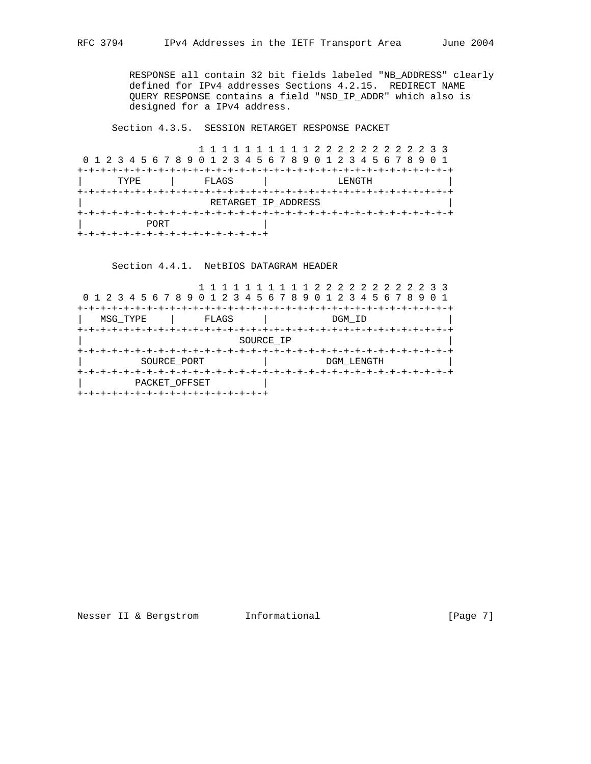RESPONSE all contain 32 bit fields labeled "NB\_ADDRESS" clearly defined for IPv4 addresses Sections 4.2.15. REDIRECT NAME QUERY RESPONSE contains a field "NSD\_IP\_ADDR" which also is designed for a IPv4 address.

Section 4.3.5. SESSION RETARGET RESPONSE PACKET

 1 1 1 1 1 1 1 1 1 1 2 2 2 2 2 2 2 2 2 2 3 3 0 1 2 3 4 5 6 7 8 9 0 1 2 3 4 5 6 7 8 9 0 1 2 3 4 5 6 7 8 9 0 1 +-+-+-+-+-+-+-+-+-+-+-+-+-+-+-+-+-+-+-+-+-+-+-+-+-+-+-+-+-+-+-+-+ TYPE | FLAGS | LENGTH +-+-+-+-+-+-+-+-+-+-+-+-+-+-+-+-+-+-+-+-+-+-+-+-+-+-+-+-+-+-+-+-+ | RETARGET\_IP\_ADDRESS | +-+-+-+-+-+-+-+-+-+-+-+-+-+-+-+-+-+-+-+-+-+-+-+-+-+-+-+-+-+-+-+-+ | PORT | +-+-+-+-+-+-+-+-+-+-+-+-+-+-+-+-+

Section 4.4.1. NetBIOS DATAGRAM HEADER

| 0 1 2 3 4 5 6 7 8 9 0 1 2 3 4 5 6 7 8 9 0 1 2 3 4 5 6 7 8          |            |
|--------------------------------------------------------------------|------------|
| FLAGS<br>MSG TYPE                                                  | DGM ID     |
|                                                                    | SOURCE IP  |
| $+ - + - +$<br>SOURCE PORT                                         | DGM LENGTH |
| $+ - + - +$<br>PACKET OFFSET<br>+-+-+-+-+-+-+-+-+-+-+-+-+-+-+-+-+- |            |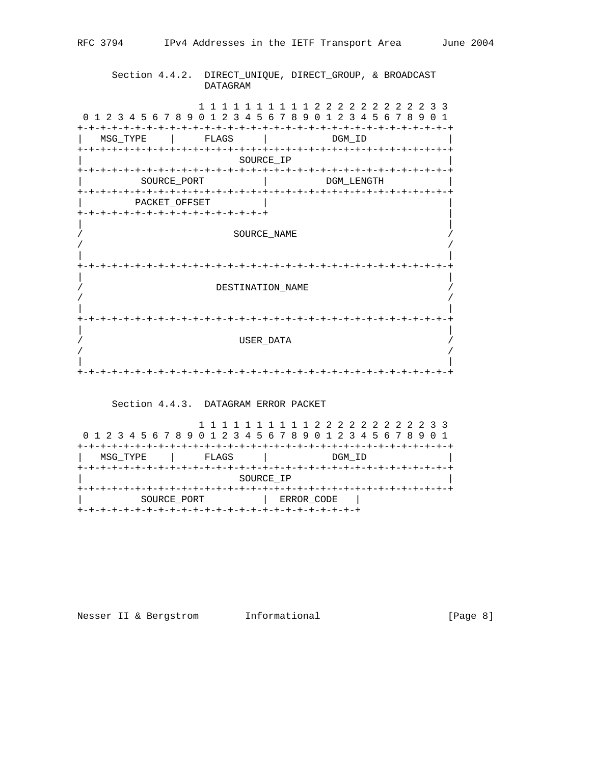## Section 4.4.2. DIRECT\_UNIQUE, DIRECT\_GROUP, & BROADCAST DATAGRAM

 1 1 1 1 1 1 1 1 1 1 2 2 2 2 2 2 2 2 2 2 3 3 0 1 2 3 4 5 6 7 8 9 0 1 2 3 4 5 6 7 8 9 0 1 2 3 4 5 6 7 8 9 0 1 +-+-+-+-+-+-+-+-+-+-+-+-+-+-+-+-+-+-+-+-+-+-+-+-+-+-+-+-+-+-+-+-+ MSG\_TYPE | FLAGS | DGM\_ID +-+-+-+-+-+-+-+-+-+-+-+-+-+-+-+-+-+-+-+-+-+-+-+-+-+-+-+-+-+-+-+-+  $\verb|SOURCE$ +-+-+-+-+-+-+-+-+-+-+-+-+-+-+-+-+-+-+-+-+-+-+-+-+-+-+-+-+-+-+-+-+ | SOURCE\_PORT | DGM\_LENGTH | +-+-+-+-+-+-+-+-+-+-+-+-+-+-+-+-+-+-+-+-+-+-+-+-+-+-+-+-+-+-+-+-+ | PACKET\_OFFSET | | +-+-+-+-+-+-+-+-+-+-+-+-+-+-+-+-+ | | | SOURCE NAME  $/$ | | +-+-+-+-+-+-+-+-+-+-+-+-+-+-+-+-+-+-+-+-+-+-+-+-+-+-+-+-+-+-+-+-+ | | / DESTINATION\_NAME /  $/$ | | +-+-+-+-+-+-+-+-+-+-+-+-+-+-+-+-+-+-+-+-+-+-+-+-+-+-+-+-+-+-+-+-+ | | / USER\_DATA /  $/$ | | +-+-+-+-+-+-+-+-+-+-+-+-+-+-+-+-+-+-+-+-+-+-+-+-+-+-+-+-+-+-+-+-+

## Section 4.4.3. DATAGRAM ERROR PACKET

|                           |              | 1 1 1 1 1 1 1 1 1 2 2 2 2 2 2 2 2 2 3 3<br>0 1 2 3 4 5 6 7 8 9 0 1 2 3 4 5 6 7 8 9 0 1 2 3 4 5 6 7 8 9 0 1 |  |  |  |  |  |  |
|---------------------------|--------------|------------------------------------------------------------------------------------------------------------|--|--|--|--|--|--|
| MSG TYPE                  | <b>ELAGS</b> | DGM ID                                                                                                     |  |  |  |  |  |  |
|                           | SOURCE IP    |                                                                                                            |  |  |  |  |  |  |
| SOURCE PORT<br>ERROR CODE |              |                                                                                                            |  |  |  |  |  |  |

# Nesser II & Bergstrom Informational (Page 8)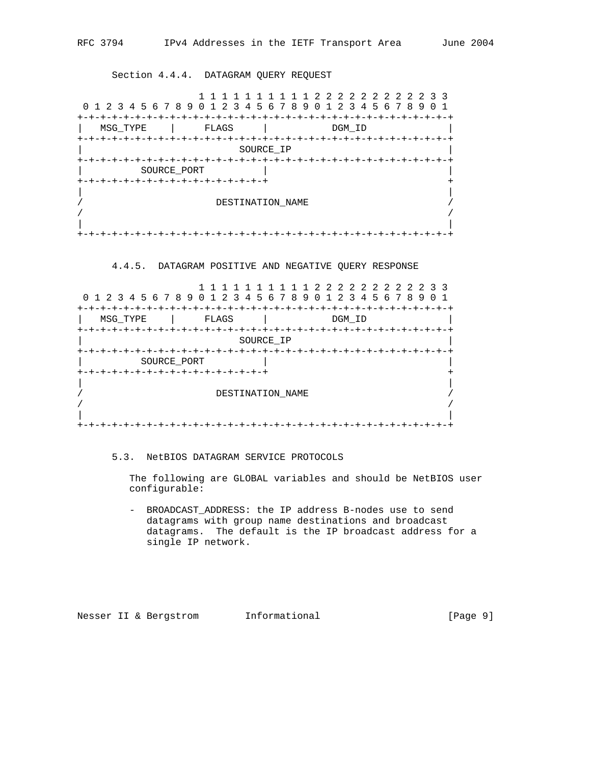Section 4.4.4. DATAGRAM QUERY REQUEST

|                  |                                             | 1 1 1 2 2 2 2 2 2 2 2 2 3 3<br>0 1 2 3 4 5 6 7 8 9 0 1 2 3 4 5 6 7 8 9 0 1 2 3 4 5 6 7 8 9 |  |  |  |  |  |  |
|------------------|---------------------------------------------|--------------------------------------------------------------------------------------------|--|--|--|--|--|--|
| MSG TYPE         | FLAGS                                       | DGM ID                                                                                     |  |  |  |  |  |  |
|                  |                                             | SOURCE IP                                                                                  |  |  |  |  |  |  |
|                  | SOURCE PORT<br>+-+-+-+-+-+-+-+-+-+-+-+-+-+- |                                                                                            |  |  |  |  |  |  |
| DESTINATION NAME |                                             |                                                                                            |  |  |  |  |  |  |
|                  |                                             |                                                                                            |  |  |  |  |  |  |

## 4.4.5. DATAGRAM POSITIVE AND NEGATIVE QUERY RESPONSE

| 0 1 2 3 4 5 6 7 8 9 0 1 2 3 4 5 6 7 8 9 0 1 2 3 4 5 6 7 8 9 |                                            |  | 222222222233 |                |  |  |  |  |
|-------------------------------------------------------------|--------------------------------------------|--|--------------|----------------|--|--|--|--|
| MSG TYPE                                                    | -+-+-+-+-+-+-+-+-+-+-+-+-+-+-+-+-<br>FLAGS |  | DGM ID       | +-+-+-+-+-+-+- |  |  |  |  |
|                                                             | SOURCE IP                                  |  |              |                |  |  |  |  |
|                                                             |                                            |  |              |                |  |  |  |  |
| SOURCE PORT                                                 |                                            |  |              |                |  |  |  |  |
| +-+-+-+-+-+-+-+-+-+-+-+-+-+-+-+-+-+                         |                                            |  |              |                |  |  |  |  |
|                                                             |                                            |  |              |                |  |  |  |  |
|                                                             | DESTINATION NAME                           |  |              |                |  |  |  |  |
|                                                             |                                            |  |              |                |  |  |  |  |
|                                                             |                                            |  |              |                |  |  |  |  |

## 5.3. NetBIOS DATAGRAM SERVICE PROTOCOLS

 The following are GLOBAL variables and should be NetBIOS user configurable:

 - BROADCAST\_ADDRESS: the IP address B-nodes use to send datagrams with group name destinations and broadcast datagrams. The default is the IP broadcast address for a single IP network.

Nesser II & Bergstrom Informational (Page 9)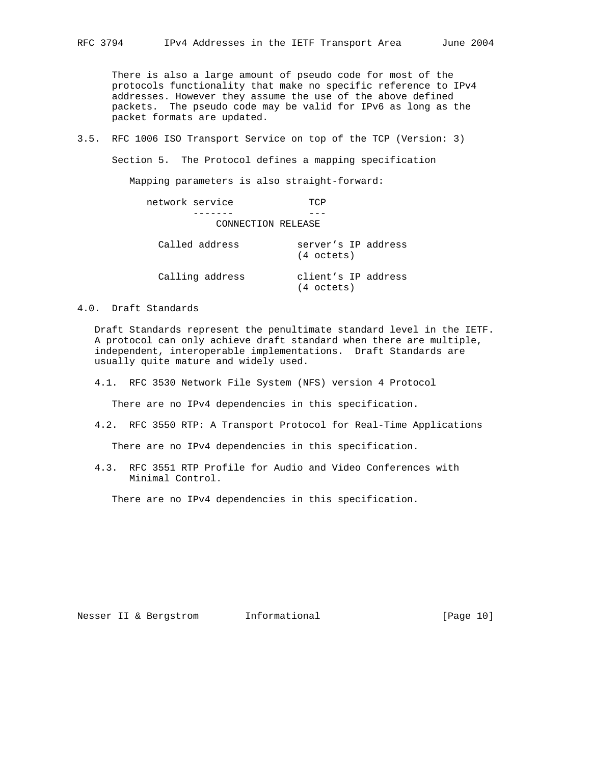There is also a large amount of pseudo code for most of the protocols functionality that make no specific reference to IPv4 addresses. However they assume the use of the above defined packets. The pseudo code may be valid for IPv6 as long as the packet formats are updated.

3.5. RFC 1006 ISO Transport Service on top of the TCP (Version: 3)

Section 5. The Protocol defines a mapping specification

Mapping parameters is also straight-forward:

 network service TCP ------- --- CONNECTION RELEASE

| Called address  | server's IP address<br>(4 octets) |  |
|-----------------|-----------------------------------|--|
| Calling address | client's IP address<br>(4 octets) |  |

4.0. Draft Standards

 Draft Standards represent the penultimate standard level in the IETF. A protocol can only achieve draft standard when there are multiple, independent, interoperable implementations. Draft Standards are usually quite mature and widely used.

4.1. RFC 3530 Network File System (NFS) version 4 Protocol

There are no IPv4 dependencies in this specification.

4.2. RFC 3550 RTP: A Transport Protocol for Real-Time Applications

There are no IPv4 dependencies in this specification.

 4.3. RFC 3551 RTP Profile for Audio and Video Conferences with Minimal Control.

There are no IPv4 dependencies in this specification.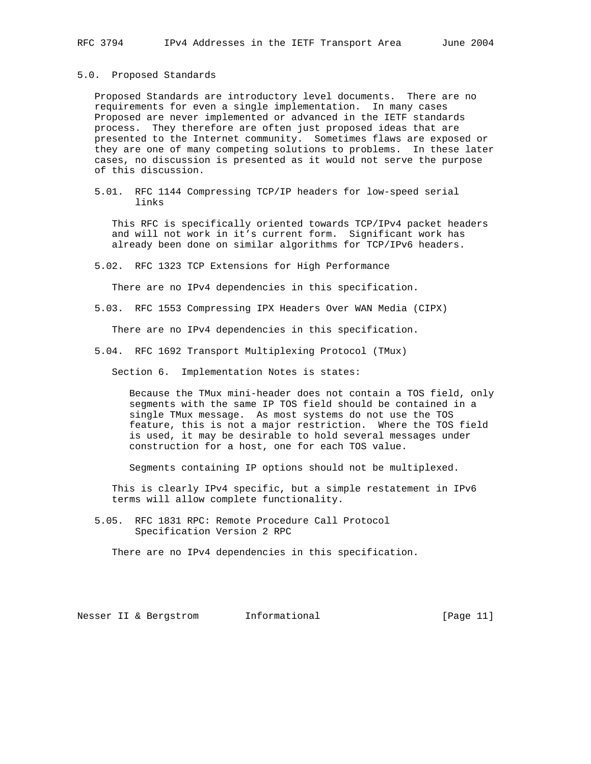#### 5.0. Proposed Standards

 Proposed Standards are introductory level documents. There are no requirements for even a single implementation. In many cases Proposed are never implemented or advanced in the IETF standards process. They therefore are often just proposed ideas that are presented to the Internet community. Sometimes flaws are exposed or they are one of many competing solutions to problems. In these later cases, no discussion is presented as it would not serve the purpose of this discussion.

 5.01. RFC 1144 Compressing TCP/IP headers for low-speed serial links

 This RFC is specifically oriented towards TCP/IPv4 packet headers and will not work in it's current form. Significant work has already been done on similar algorithms for TCP/IPv6 headers.

5.02. RFC 1323 TCP Extensions for High Performance

There are no IPv4 dependencies in this specification.

5.03. RFC 1553 Compressing IPX Headers Over WAN Media (CIPX)

There are no IPv4 dependencies in this specification.

5.04. RFC 1692 Transport Multiplexing Protocol (TMux)

Section 6. Implementation Notes is states:

 Because the TMux mini-header does not contain a TOS field, only segments with the same IP TOS field should be contained in a single TMux message. As most systems do not use the TOS feature, this is not a major restriction. Where the TOS field is used, it may be desirable to hold several messages under construction for a host, one for each TOS value.

Segments containing IP options should not be multiplexed.

 This is clearly IPv4 specific, but a simple restatement in IPv6 terms will allow complete functionality.

 5.05. RFC 1831 RPC: Remote Procedure Call Protocol Specification Version 2 RPC

There are no IPv4 dependencies in this specification.

Nesser II & Bergstrom informational [Page 11]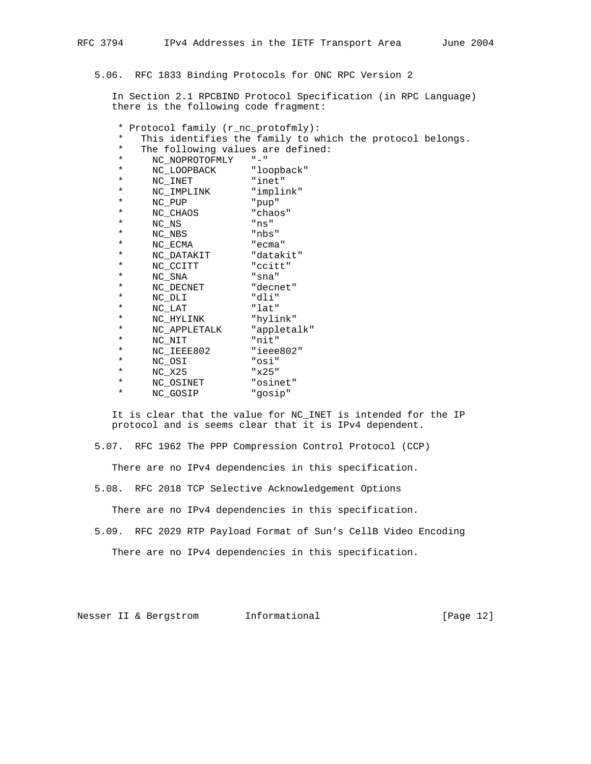5.06. RFC 1833 Binding Protocols for ONC RPC Version 2

 In Section 2.1 RPCBIND Protocol Specification (in RPC Language) there is the following code fragment:

\* Protocol family (r\_nc\_protofmly):

\* This identifies the family to which the protocol belongs.<br>\* The following values are defined:

- \* The following values are defined:<br>\* NC NORPOTOFMIX "-"
- \* NC\_NOPROTOFMLY "-"

| * | NC LOOPBACK | "loopback" |
|---|-------------|------------|
| * | NC INET     | "inet"     |
| * | NC IMPLINK  | "implink"  |
| * | NC PUP      | "pup"      |
| * | NC CHAOS    | "chaos"    |

|          | ---------    | -navo       |
|----------|--------------|-------------|
| $\star$  | NC NS        | "ns"        |
| $\star$  | NC NBS       | "nbs"       |
| $\star$  | NC ECMA      | "ecma"      |
| ¥        | NC DATAKIT   | "datakit"   |
| $\star$  | NC CCITT     | "ccitt"     |
| ¥        | NC SNA       | "sna"       |
| $\star$  | NC DECNET    | "decnet"    |
| $\star$  | NC DLI       | "dli"       |
| $^\star$ | NC LAT       | "lat"       |
| $\star$  | NC HYLINK    | "hylink"    |
| $\star$  | NC APPLETALK | "appletalk" |
| $\star$  | NC NIT       | "nit"       |
| $\star$  | NC_IEEE802   | "ieee802"   |
| $^\star$ | NC OSI       | "osi"       |
| $^\star$ | NC X25       | "x25"       |
| $^\star$ | NC_OSINET    | "osinet"    |
| $^\star$ | NC_GOSIP     | "qosip"     |
|          |              |             |

 It is clear that the value for NC\_INET is intended for the IP protocol and is seems clear that it is IPv4 dependent.

5.07. RFC 1962 The PPP Compression Control Protocol (CCP)

There are no IPv4 dependencies in this specification.

5.08. RFC 2018 TCP Selective Acknowledgement Options

There are no IPv4 dependencies in this specification.

 5.09. RFC 2029 RTP Payload Format of Sun's CellB Video Encoding There are no IPv4 dependencies in this specification.

Nesser II & Bergstrom Informational [Page 12]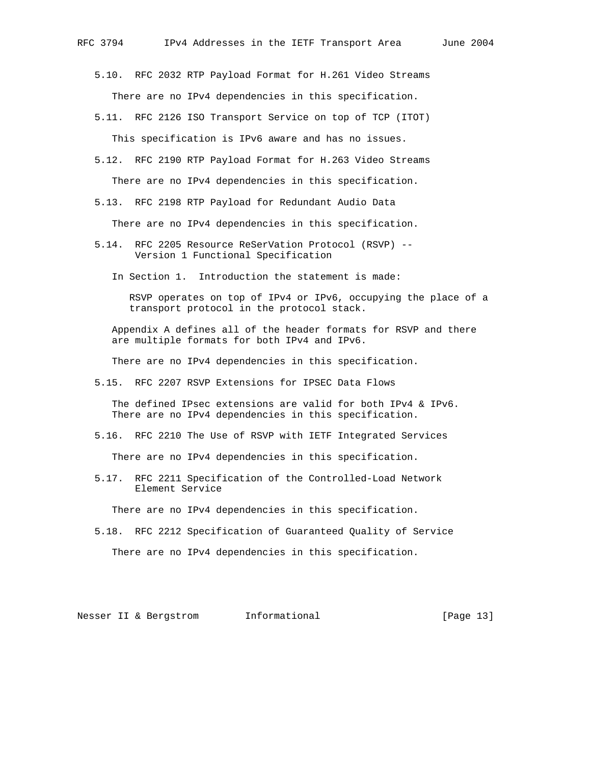- 5.10. RFC 2032 RTP Payload Format for H.261 Video Streams There are no IPv4 dependencies in this specification.
- 5.11. RFC 2126 ISO Transport Service on top of TCP (ITOT) This specification is IPv6 aware and has no issues.
- 5.12. RFC 2190 RTP Payload Format for H.263 Video Streams There are no IPv4 dependencies in this specification.
- 5.13. RFC 2198 RTP Payload for Redundant Audio Data

There are no IPv4 dependencies in this specification.

- 5.14. RFC 2205 Resource ReSerVation Protocol (RSVP) -- Version 1 Functional Specification
	- In Section 1. Introduction the statement is made:

 RSVP operates on top of IPv4 or IPv6, occupying the place of a transport protocol in the protocol stack.

 Appendix A defines all of the header formats for RSVP and there are multiple formats for both IPv4 and IPv6.

There are no IPv4 dependencies in this specification.

5.15. RFC 2207 RSVP Extensions for IPSEC Data Flows

 The defined IPsec extensions are valid for both IPv4 & IPv6. There are no IPv4 dependencies in this specification.

5.16. RFC 2210 The Use of RSVP with IETF Integrated Services

There are no IPv4 dependencies in this specification.

 5.17. RFC 2211 Specification of the Controlled-Load Network Element Service

There are no IPv4 dependencies in this specification.

 5.18. RFC 2212 Specification of Guaranteed Quality of Service There are no IPv4 dependencies in this specification.

Nesser II & Bergstrom 1nformational [Page 13]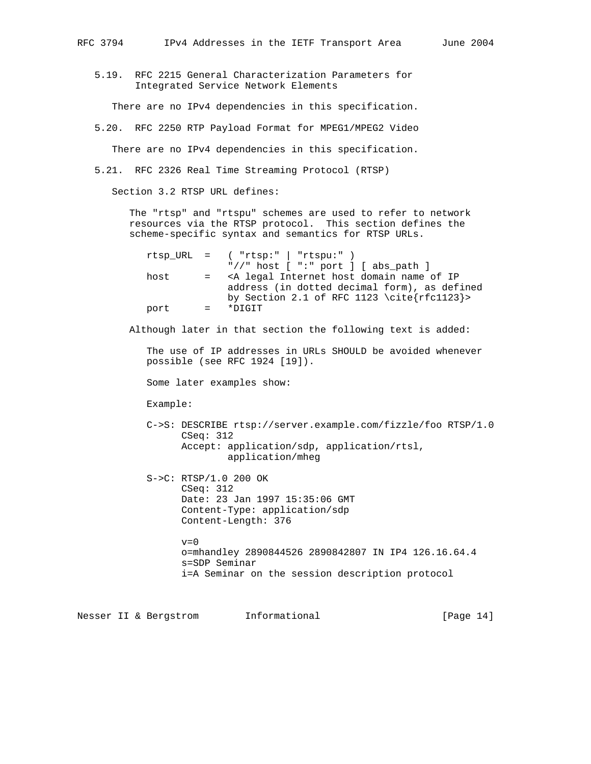5.19. RFC 2215 General Characterization Parameters for Integrated Service Network Elements

There are no IPv4 dependencies in this specification.

5.20. RFC 2250 RTP Payload Format for MPEG1/MPEG2 Video

There are no IPv4 dependencies in this specification.

5.21. RFC 2326 Real Time Streaming Protocol (RTSP)

Section 3.2 RTSP URL defines:

 The "rtsp" and "rtspu" schemes are used to refer to network resources via the RTSP protocol. This section defines the scheme-specific syntax and semantics for RTSP URLs.

|      |                           | $rtsp_URL =$ ( " $rtsp:$ " $rtsp:$ "   " $rtsp:$ "                        |
|------|---------------------------|---------------------------------------------------------------------------|
|      |                           | "//" host $[$ ":" port $]$ $[$ abs path $]$                               |
| host | $\equiv$ $\equiv$         | <a domain="" host="" internet="" ip<="" legal="" name="" of="" td=""></a> |
|      |                           | address (in dotted decimal form), as defined                              |
|      |                           | by Section 2.1 of RFC 1123 \cite{rfc1123}>                                |
| port | $\mathbf{r} = \mathbf{r}$ | *DIGIT                                                                    |

Although later in that section the following text is added:

 The use of IP addresses in URLs SHOULD be avoided whenever possible (see RFC 1924 [19]).

Some later examples show:

Example:

 C->S: DESCRIBE rtsp://server.example.com/fizzle/foo RTSP/1.0 CSeq: 312 Accept: application/sdp, application/rtsl, application/mheg

 S->C: RTSP/1.0 200 OK CSeq: 312 Date: 23 Jan 1997 15:35:06 GMT Content-Type: application/sdp Content-Length: 376

> $v=0$  o=mhandley 2890844526 2890842807 IN IP4 126.16.64.4 s=SDP Seminar i=A Seminar on the session description protocol

Nesser II & Bergstrom 1nformational [Page 14]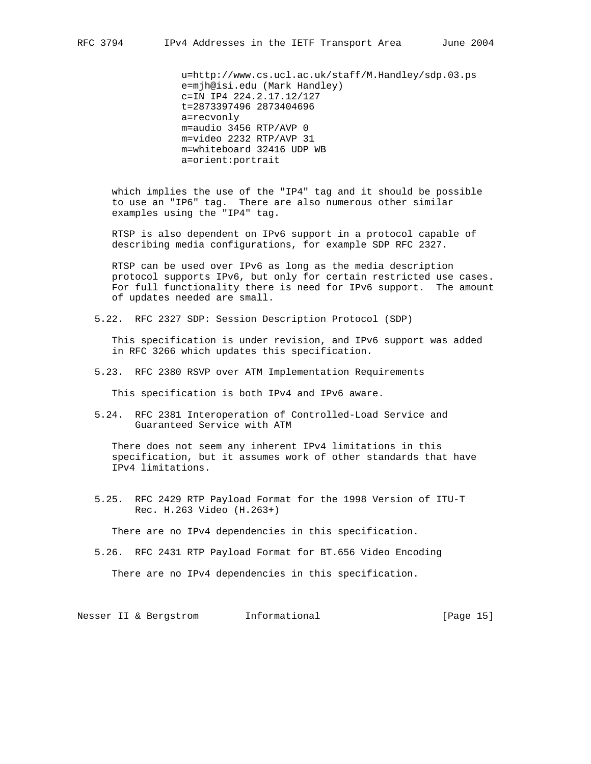u=http://www.cs.ucl.ac.uk/staff/M.Handley/sdp.03.ps e=mjh@isi.edu (Mark Handley) c=IN IP4 224.2.17.12/127 t=2873397496 2873404696 a=recvonly m=audio 3456 RTP/AVP 0 m=video 2232 RTP/AVP 31 m=whiteboard 32416 UDP WB a=orient:portrait

 which implies the use of the "IP4" tag and it should be possible to use an "IP6" tag. There are also numerous other similar examples using the "IP4" tag.

 RTSP is also dependent on IPv6 support in a protocol capable of describing media configurations, for example SDP RFC 2327.

 RTSP can be used over IPv6 as long as the media description protocol supports IPv6, but only for certain restricted use cases. For full functionality there is need for IPv6 support. The amount of updates needed are small.

5.22. RFC 2327 SDP: Session Description Protocol (SDP)

 This specification is under revision, and IPv6 support was added in RFC 3266 which updates this specification.

5.23. RFC 2380 RSVP over ATM Implementation Requirements

This specification is both IPv4 and IPv6 aware.

 5.24. RFC 2381 Interoperation of Controlled-Load Service and Guaranteed Service with ATM

 There does not seem any inherent IPv4 limitations in this specification, but it assumes work of other standards that have IPv4 limitations.

 5.25. RFC 2429 RTP Payload Format for the 1998 Version of ITU-T Rec. H.263 Video (H.263+)

There are no IPv4 dependencies in this specification.

5.26. RFC 2431 RTP Payload Format for BT.656 Video Encoding

There are no IPv4 dependencies in this specification.

Nesser II & Bergstrom and Informational [Page 15]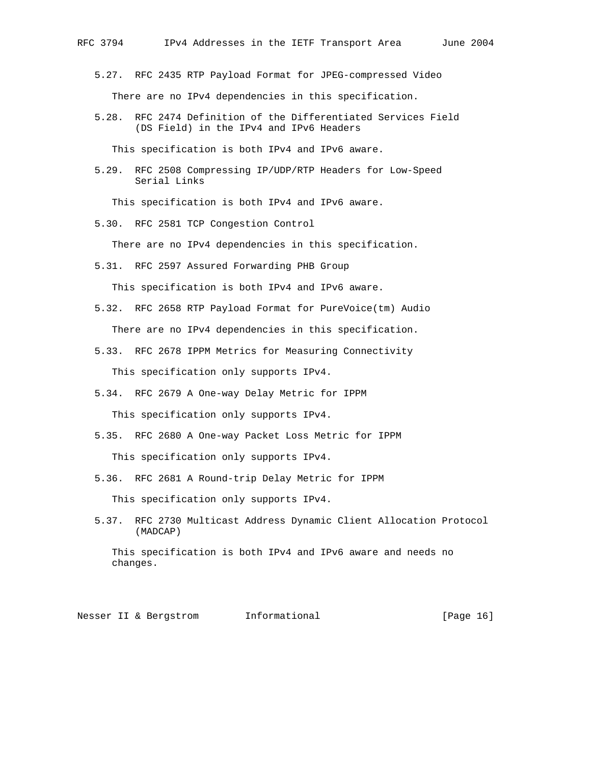- 5.27. RFC 2435 RTP Payload Format for JPEG-compressed Video There are no IPv4 dependencies in this specification.
- 5.28. RFC 2474 Definition of the Differentiated Services Field (DS Field) in the IPv4 and IPv6 Headers

This specification is both IPv4 and IPv6 aware.

 5.29. RFC 2508 Compressing IP/UDP/RTP Headers for Low-Speed Serial Links

This specification is both IPv4 and IPv6 aware.

5.30. RFC 2581 TCP Congestion Control

There are no IPv4 dependencies in this specification.

- 5.31. RFC 2597 Assured Forwarding PHB Group This specification is both IPv4 and IPv6 aware.
- 5.32. RFC 2658 RTP Payload Format for PureVoice(tm) Audio There are no IPv4 dependencies in this specification.
- 5.33. RFC 2678 IPPM Metrics for Measuring Connectivity This specification only supports IPv4.
- 5.34. RFC 2679 A One-way Delay Metric for IPPM This specification only supports IPv4.
- 5.35. RFC 2680 A One-way Packet Loss Metric for IPPM This specification only supports IPv4.
- 5.36. RFC 2681 A Round-trip Delay Metric for IPPM This specification only supports IPv4.
- 5.37. RFC 2730 Multicast Address Dynamic Client Allocation Protocol (MADCAP)

 This specification is both IPv4 and IPv6 aware and needs no changes.

Nesser II & Bergstrom Informational (Page 16)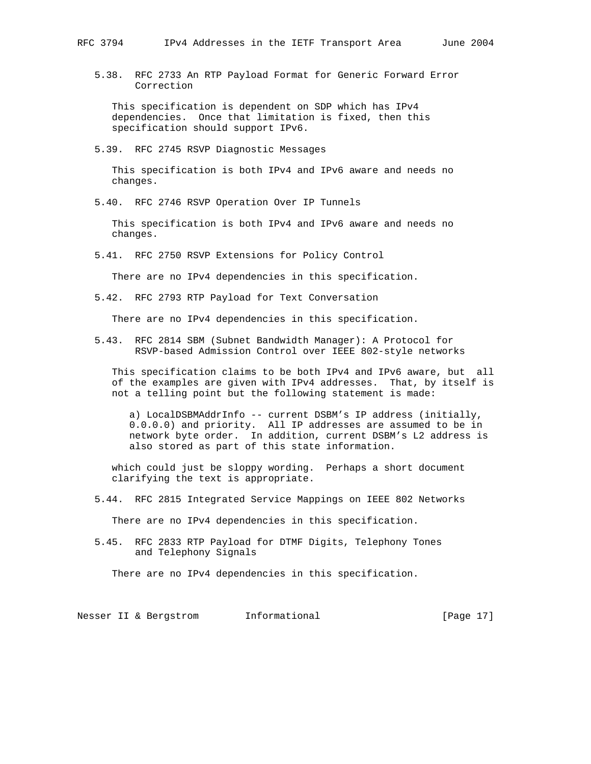5.38. RFC 2733 An RTP Payload Format for Generic Forward Error Correction

 This specification is dependent on SDP which has IPv4 dependencies. Once that limitation is fixed, then this specification should support IPv6.

5.39. RFC 2745 RSVP Diagnostic Messages

 This specification is both IPv4 and IPv6 aware and needs no changes.

5.40. RFC 2746 RSVP Operation Over IP Tunnels

 This specification is both IPv4 and IPv6 aware and needs no changes.

5.41. RFC 2750 RSVP Extensions for Policy Control

There are no IPv4 dependencies in this specification.

5.42. RFC 2793 RTP Payload for Text Conversation

There are no IPv4 dependencies in this specification.

 5.43. RFC 2814 SBM (Subnet Bandwidth Manager): A Protocol for RSVP-based Admission Control over IEEE 802-style networks

 This specification claims to be both IPv4 and IPv6 aware, but all of the examples are given with IPv4 addresses. That, by itself is not a telling point but the following statement is made:

 a) LocalDSBMAddrInfo -- current DSBM's IP address (initially, 0.0.0.0) and priority. All IP addresses are assumed to be in network byte order. In addition, current DSBM's L2 address is also stored as part of this state information.

 which could just be sloppy wording. Perhaps a short document clarifying the text is appropriate.

5.44. RFC 2815 Integrated Service Mappings on IEEE 802 Networks

There are no IPv4 dependencies in this specification.

 5.45. RFC 2833 RTP Payload for DTMF Digits, Telephony Tones and Telephony Signals

There are no IPv4 dependencies in this specification.

Nesser II & Bergstrom Informational [Page 17]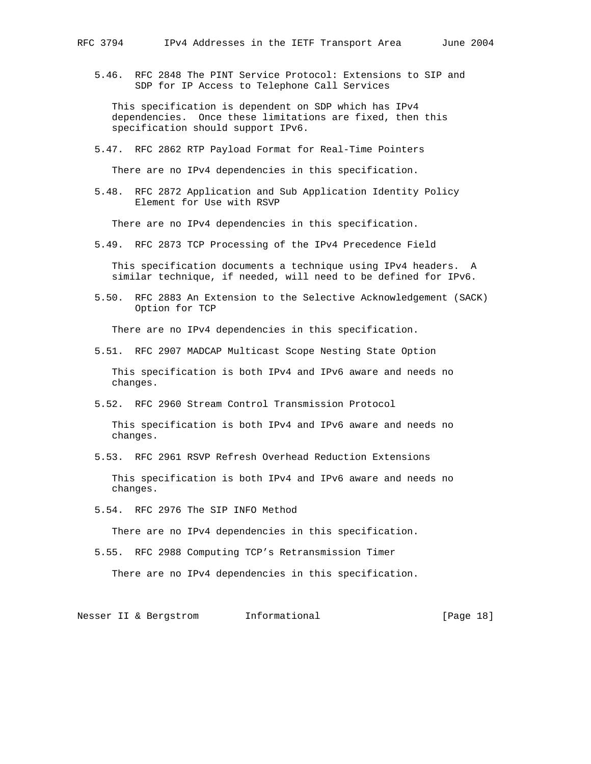5.46. RFC 2848 The PINT Service Protocol: Extensions to SIP and SDP for IP Access to Telephone Call Services

 This specification is dependent on SDP which has IPv4 dependencies. Once these limitations are fixed, then this specification should support IPv6.

5.47. RFC 2862 RTP Payload Format for Real-Time Pointers

There are no IPv4 dependencies in this specification.

 5.48. RFC 2872 Application and Sub Application Identity Policy Element for Use with RSVP

There are no IPv4 dependencies in this specification.

5.49. RFC 2873 TCP Processing of the IPv4 Precedence Field

 This specification documents a technique using IPv4 headers. A similar technique, if needed, will need to be defined for IPv6.

 5.50. RFC 2883 An Extension to the Selective Acknowledgement (SACK) Option for TCP

There are no IPv4 dependencies in this specification.

5.51. RFC 2907 MADCAP Multicast Scope Nesting State Option

 This specification is both IPv4 and IPv6 aware and needs no changes.

5.52. RFC 2960 Stream Control Transmission Protocol

 This specification is both IPv4 and IPv6 aware and needs no changes.

5.53. RFC 2961 RSVP Refresh Overhead Reduction Extensions

 This specification is both IPv4 and IPv6 aware and needs no changes.

5.54. RFC 2976 The SIP INFO Method

There are no IPv4 dependencies in this specification.

5.55. RFC 2988 Computing TCP's Retransmission Timer

There are no IPv4 dependencies in this specification.

Nesser II & Bergstrom Informational [Page 18]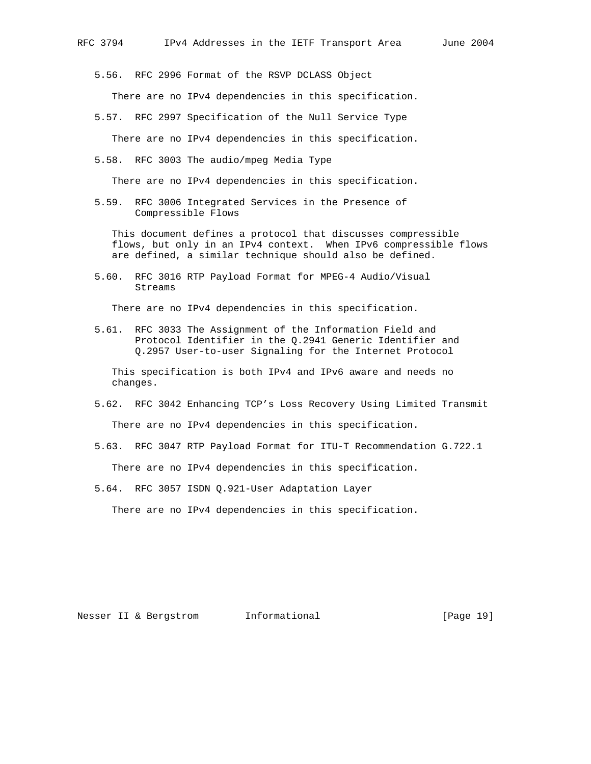5.56. RFC 2996 Format of the RSVP DCLASS Object

There are no IPv4 dependencies in this specification.

5.57. RFC 2997 Specification of the Null Service Type

There are no IPv4 dependencies in this specification.

5.58. RFC 3003 The audio/mpeg Media Type

There are no IPv4 dependencies in this specification.

 5.59. RFC 3006 Integrated Services in the Presence of Compressible Flows

 This document defines a protocol that discusses compressible flows, but only in an IPv4 context. When IPv6 compressible flows are defined, a similar technique should also be defined.

 5.60. RFC 3016 RTP Payload Format for MPEG-4 Audio/Visual Streams

There are no IPv4 dependencies in this specification.

 5.61. RFC 3033 The Assignment of the Information Field and Protocol Identifier in the Q.2941 Generic Identifier and Q.2957 User-to-user Signaling for the Internet Protocol

 This specification is both IPv4 and IPv6 aware and needs no changes.

- 5.62. RFC 3042 Enhancing TCP's Loss Recovery Using Limited Transmit There are no IPv4 dependencies in this specification.
- 5.63. RFC 3047 RTP Payload Format for ITU-T Recommendation G.722.1

There are no IPv4 dependencies in this specification.

5.64. RFC 3057 ISDN Q.921-User Adaptation Layer

There are no IPv4 dependencies in this specification.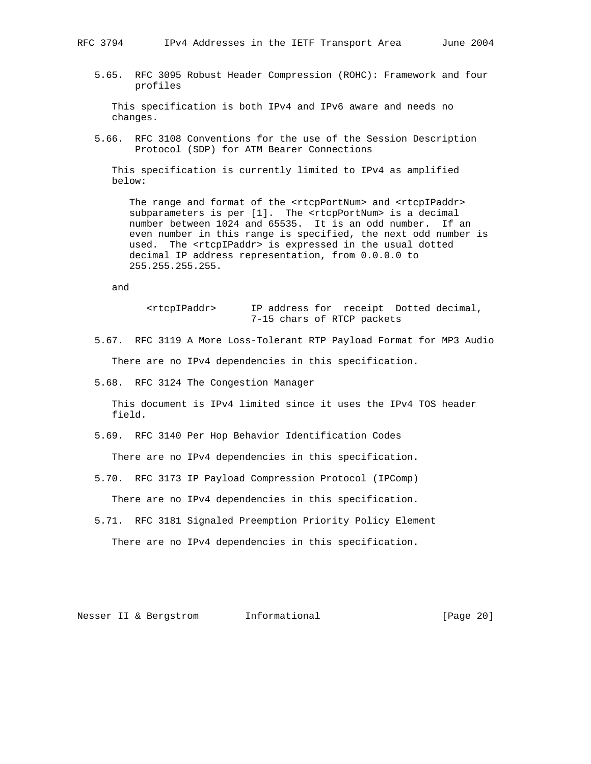5.65. RFC 3095 Robust Header Compression (ROHC): Framework and four profiles

 This specification is both IPv4 and IPv6 aware and needs no changes.

 5.66. RFC 3108 Conventions for the use of the Session Description Protocol (SDP) for ATM Bearer Connections

 This specification is currently limited to IPv4 as amplified below:

The range and format of the <rtcpPortNum> and <rtcpIPaddr> subparameters is per [1]. The <rtcpPortNum> is a decimal number between 1024 and 65535. It is an odd number. If an even number in this range is specified, the next odd number is used. The <rtcpIPaddr> is expressed in the usual dotted decimal IP address representation, from 0.0.0.0 to 255.255.255.255.

and

 <rtcpIPaddr> IP address for receipt Dotted decimal, 7-15 chars of RTCP packets

- 5.67. RFC 3119 A More Loss-Tolerant RTP Payload Format for MP3 Audio There are no IPv4 dependencies in this specification.
- 5.68. RFC 3124 The Congestion Manager

 This document is IPv4 limited since it uses the IPv4 TOS header field.

5.69. RFC 3140 Per Hop Behavior Identification Codes

There are no IPv4 dependencies in this specification.

5.70. RFC 3173 IP Payload Compression Protocol (IPComp)

There are no IPv4 dependencies in this specification.

 5.71. RFC 3181 Signaled Preemption Priority Policy Element There are no IPv4 dependencies in this specification.

Nesser II & Bergstrom 1nformational [Page 20]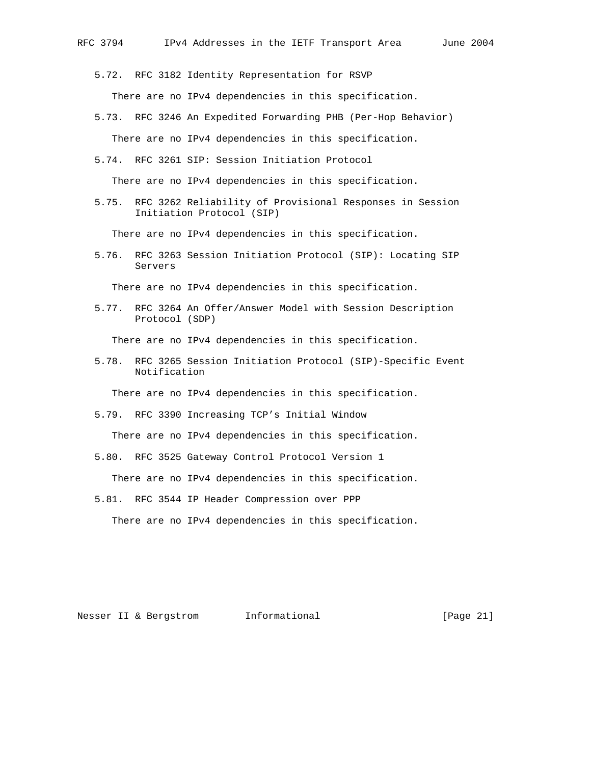5.72. RFC 3182 Identity Representation for RSVP There are no IPv4 dependencies in this specification.

- 5.73. RFC 3246 An Expedited Forwarding PHB (Per-Hop Behavior) There are no IPv4 dependencies in this specification.
- 5.74. RFC 3261 SIP: Session Initiation Protocol

There are no IPv4 dependencies in this specification.

 5.75. RFC 3262 Reliability of Provisional Responses in Session Initiation Protocol (SIP)

There are no IPv4 dependencies in this specification.

 5.76. RFC 3263 Session Initiation Protocol (SIP): Locating SIP Servers

There are no IPv4 dependencies in this specification.

 5.77. RFC 3264 An Offer/Answer Model with Session Description Protocol (SDP)

There are no IPv4 dependencies in this specification.

 5.78. RFC 3265 Session Initiation Protocol (SIP)-Specific Event Notification

There are no IPv4 dependencies in this specification.

5.79. RFC 3390 Increasing TCP's Initial Window

There are no IPv4 dependencies in this specification.

5.80. RFC 3525 Gateway Control Protocol Version 1

There are no IPv4 dependencies in this specification.

5.81. RFC 3544 IP Header Compression over PPP

There are no IPv4 dependencies in this specification.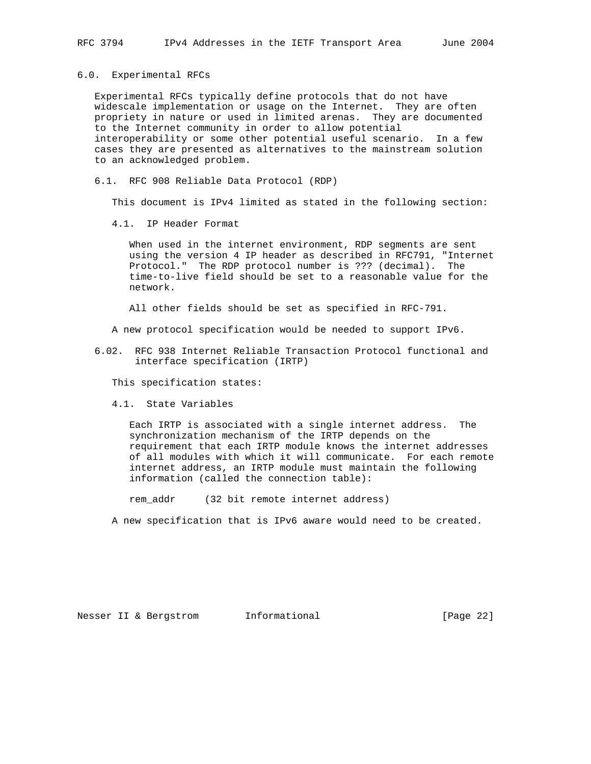6.0. Experimental RFCs

 Experimental RFCs typically define protocols that do not have widescale implementation or usage on the Internet. They are often propriety in nature or used in limited arenas. They are documented to the Internet community in order to allow potential interoperability or some other potential useful scenario. In a few cases they are presented as alternatives to the mainstream solution to an acknowledged problem.

6.1. RFC 908 Reliable Data Protocol (RDP)

This document is IPv4 limited as stated in the following section:

4.1. IP Header Format

 When used in the internet environment, RDP segments are sent using the version 4 IP header as described in RFC791, "Internet Protocol." The RDP protocol number is ??? (decimal). The time-to-live field should be set to a reasonable value for the network.

All other fields should be set as specified in RFC-791.

A new protocol specification would be needed to support IPv6.

 6.02. RFC 938 Internet Reliable Transaction Protocol functional and interface specification (IRTP)

This specification states:

4.1. State Variables

 Each IRTP is associated with a single internet address. The synchronization mechanism of the IRTP depends on the requirement that each IRTP module knows the internet addresses of all modules with which it will communicate. For each remote internet address, an IRTP module must maintain the following information (called the connection table):

rem\_addr (32 bit remote internet address)

A new specification that is IPv6 aware would need to be created.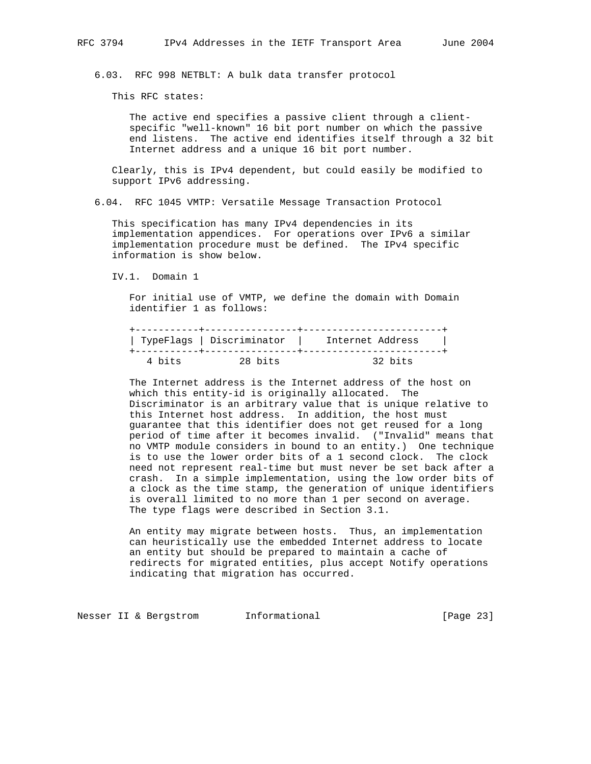6.03. RFC 998 NETBLT: A bulk data transfer protocol

This RFC states:

 The active end specifies a passive client through a client specific "well-known" 16 bit port number on which the passive end listens. The active end identifies itself through a 32 bit Internet address and a unique 16 bit port number.

 Clearly, this is IPv4 dependent, but could easily be modified to support IPv6 addressing.

6.04. RFC 1045 VMTP: Versatile Message Transaction Protocol

 This specification has many IPv4 dependencies in its implementation appendices. For operations over IPv6 a similar implementation procedure must be defined. The IPv4 specific information is show below.

IV.1. Domain 1

 For initial use of VMTP, we define the domain with Domain identifier 1 as follows:

|        |         | TypeFlags   Discriminator   Internet Address | $\sim$ 1 |
|--------|---------|----------------------------------------------|----------|
| 4 bits | 28 bits | 32 bits                                      |          |

 The Internet address is the Internet address of the host on which this entity-id is originally allocated. The Discriminator is an arbitrary value that is unique relative to this Internet host address. In addition, the host must guarantee that this identifier does not get reused for a long period of time after it becomes invalid. ("Invalid" means that no VMTP module considers in bound to an entity.) One technique is to use the lower order bits of a 1 second clock. The clock need not represent real-time but must never be set back after a crash. In a simple implementation, using the low order bits of a clock as the time stamp, the generation of unique identifiers is overall limited to no more than 1 per second on average. The type flags were described in Section 3.1.

 An entity may migrate between hosts. Thus, an implementation can heuristically use the embedded Internet address to locate an entity but should be prepared to maintain a cache of redirects for migrated entities, plus accept Notify operations indicating that migration has occurred.

Nesser II & Bergstrom Informational (Page 23)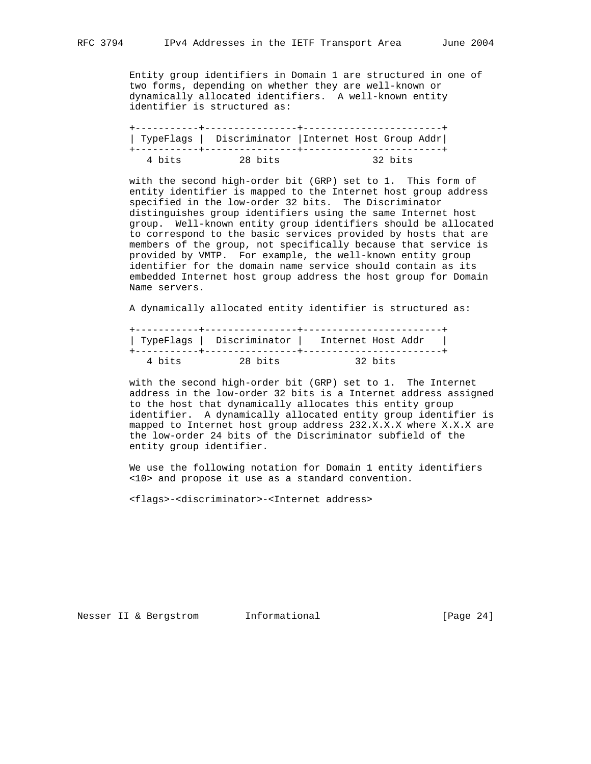Entity group identifiers in Domain 1 are structured in one of two forms, depending on whether they are well-known or dynamically allocated identifiers. A well-known entity identifier is structured as:

|        |         | TypeFlags   Discriminator   Internet Host Group Addr |
|--------|---------|------------------------------------------------------|
| 4 bits | 28 bits | 32 bits                                              |

 with the second high-order bit (GRP) set to 1. This form of entity identifier is mapped to the Internet host group address specified in the low-order 32 bits. The Discriminator distinguishes group identifiers using the same Internet host group. Well-known entity group identifiers should be allocated to correspond to the basic services provided by hosts that are members of the group, not specifically because that service is provided by VMTP. For example, the well-known entity group identifier for the domain name service should contain as its embedded Internet host group address the host group for Domain Name servers.

A dynamically allocated entity identifier is structured as:

|        |         | TypeFlags   Discriminator   Internet Host Addr | $\sim$ 1 |
|--------|---------|------------------------------------------------|----------|
| 4 bits | 28 bits | 32 bits                                        |          |

 with the second high-order bit (GRP) set to 1. The Internet address in the low-order 32 bits is a Internet address assigned to the host that dynamically allocates this entity group identifier. A dynamically allocated entity group identifier is mapped to Internet host group address 232.X.X.X where X.X.X are the low-order 24 bits of the Discriminator subfield of the entity group identifier.

 We use the following notation for Domain 1 entity identifiers <10> and propose it use as a standard convention.

<flags>-<discriminator>-<Internet address>

Nesser II & Bergstrom 1nformational [Page 24]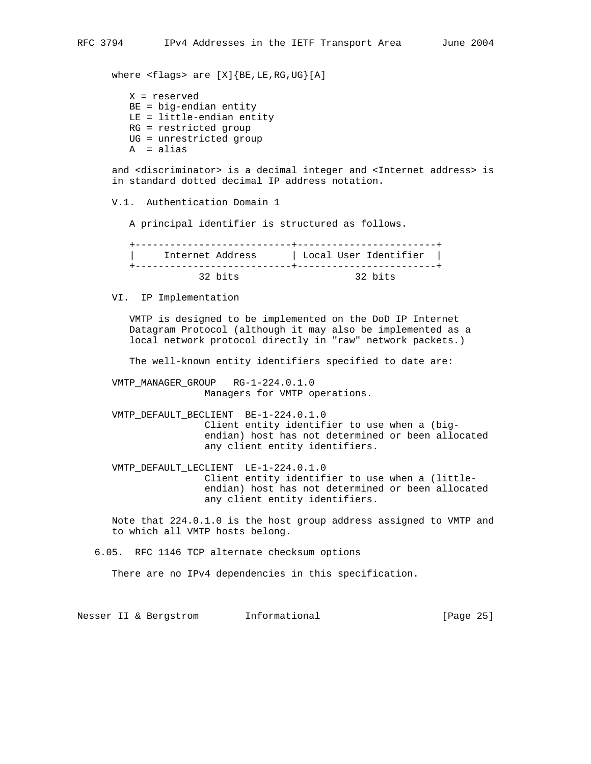where <flags> are [X]{BE,LE,RG,UG}[A]

 X = reserved BE = big-endian entity LE = little-endian entity RG = restricted group UG = unrestricted group A = alias

 and <discriminator> is a decimal integer and <Internet address> is in standard dotted decimal IP address notation.

V.1. Authentication Domain 1

A principal identifier is structured as follows.

 +---------------------------+------------------------+ | Internet Address | Local User Identifier | +---------------------------+------------------------+ 32 bits 32 bits

VI. IP Implementation

 VMTP is designed to be implemented on the DoD IP Internet Datagram Protocol (although it may also be implemented as a local network protocol directly in "raw" network packets.)

The well-known entity identifiers specified to date are:

 VMTP\_MANAGER\_GROUP RG-1-224.0.1.0 Managers for VMTP operations.

 VMTP\_DEFAULT\_BECLIENT BE-1-224.0.1.0 Client entity identifier to use when a (big endian) host has not determined or been allocated any client entity identifiers.

 VMTP\_DEFAULT\_LECLIENT LE-1-224.0.1.0 Client entity identifier to use when a (little endian) host has not determined or been allocated any client entity identifiers.

 Note that 224.0.1.0 is the host group address assigned to VMTP and to which all VMTP hosts belong.

6.05. RFC 1146 TCP alternate checksum options

There are no IPv4 dependencies in this specification.

Nesser II & Bergstrom 1nformational [Page 25]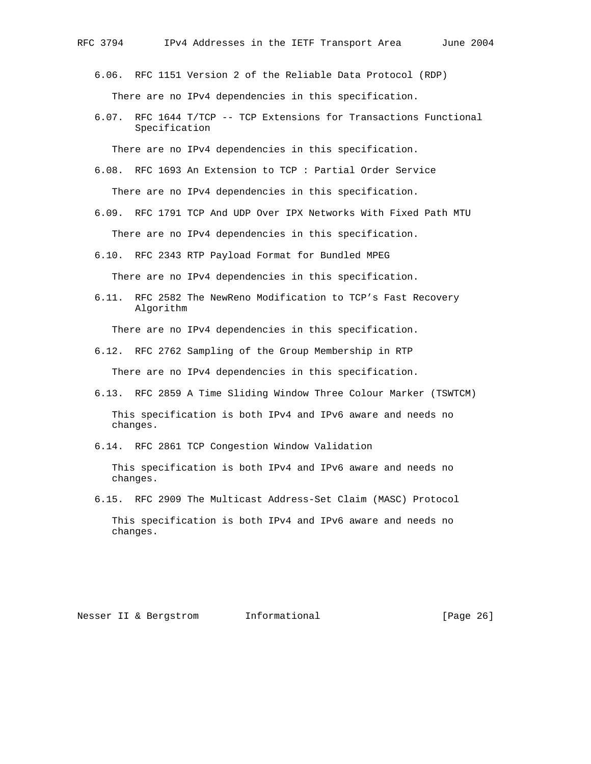6.06. RFC 1151 Version 2 of the Reliable Data Protocol (RDP) There are no IPv4 dependencies in this specification.

 6.07. RFC 1644 T/TCP -- TCP Extensions for Transactions Functional Specification

There are no IPv4 dependencies in this specification.

- 6.08. RFC 1693 An Extension to TCP : Partial Order Service There are no IPv4 dependencies in this specification.
- 6.09. RFC 1791 TCP And UDP Over IPX Networks With Fixed Path MTU There are no IPv4 dependencies in this specification.
- 6.10. RFC 2343 RTP Payload Format for Bundled MPEG

There are no IPv4 dependencies in this specification.

 6.11. RFC 2582 The NewReno Modification to TCP's Fast Recovery Algorithm

There are no IPv4 dependencies in this specification.

- 6.12. RFC 2762 Sampling of the Group Membership in RTP There are no IPv4 dependencies in this specification.
- 6.13. RFC 2859 A Time Sliding Window Three Colour Marker (TSWTCM) This specification is both IPv4 and IPv6 aware and needs no changes.
- 6.14. RFC 2861 TCP Congestion Window Validation

 This specification is both IPv4 and IPv6 aware and needs no changes.

6.15. RFC 2909 The Multicast Address-Set Claim (MASC) Protocol

 This specification is both IPv4 and IPv6 aware and needs no changes.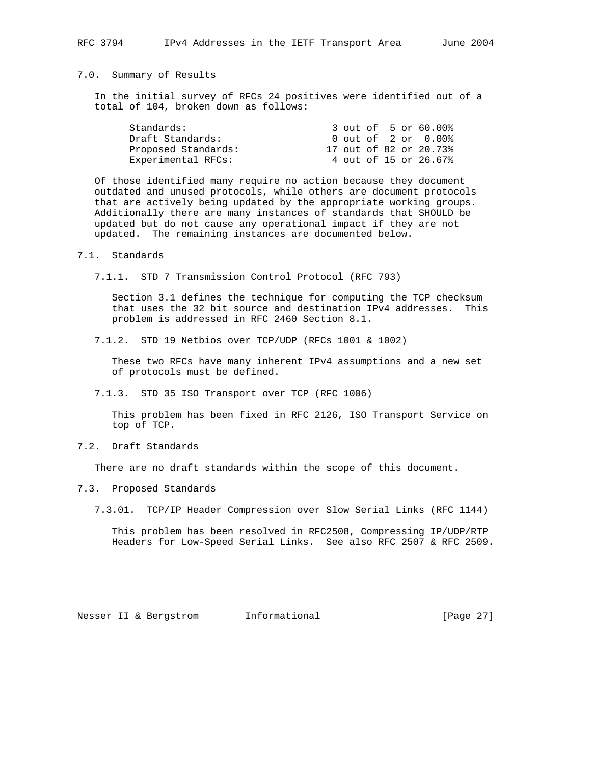## 7.0. Summary of Results

 In the initial survey of RFCs 24 positives were identified out of a total of 104, broken down as follows:

|  |  | 3 out of 5 or 60.00%<br>0 out of 2 or 0.00%<br>17 out of 82 or 20.73%<br>4 out of 15 or 26.67% |
|--|--|------------------------------------------------------------------------------------------------|

 Of those identified many require no action because they document outdated and unused protocols, while others are document protocols that are actively being updated by the appropriate working groups. Additionally there are many instances of standards that SHOULD be updated but do not cause any operational impact if they are not updated. The remaining instances are documented below.

### 7.1. Standards

7.1.1. STD 7 Transmission Control Protocol (RFC 793)

 Section 3.1 defines the technique for computing the TCP checksum that uses the 32 bit source and destination IPv4 addresses. This problem is addressed in RFC 2460 Section 8.1.

7.1.2. STD 19 Netbios over TCP/UDP (RFCs 1001 & 1002)

 These two RFCs have many inherent IPv4 assumptions and a new set of protocols must be defined.

7.1.3. STD 35 ISO Transport over TCP (RFC 1006)

 This problem has been fixed in RFC 2126, ISO Transport Service on top of TCP.

7.2. Draft Standards

There are no draft standards within the scope of this document.

7.3. Proposed Standards

7.3.01. TCP/IP Header Compression over Slow Serial Links (RFC 1144)

 This problem has been resolved in RFC2508, Compressing IP/UDP/RTP Headers for Low-Speed Serial Links. See also RFC 2507 & RFC 2509.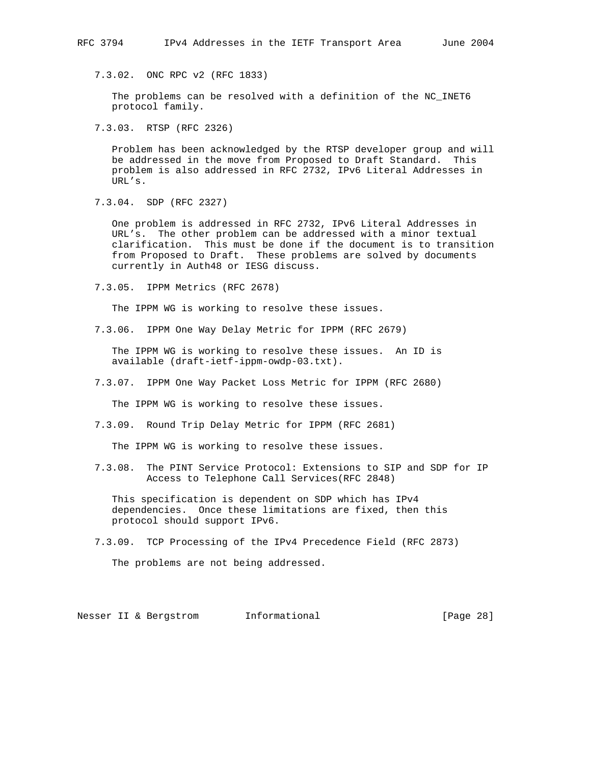7.3.02. ONC RPC v2 (RFC 1833)

 The problems can be resolved with a definition of the NC\_INET6 protocol family.

7.3.03. RTSP (RFC 2326)

 Problem has been acknowledged by the RTSP developer group and will be addressed in the move from Proposed to Draft Standard. This problem is also addressed in RFC 2732, IPv6 Literal Addresses in URL's.

7.3.04. SDP (RFC 2327)

 One problem is addressed in RFC 2732, IPv6 Literal Addresses in URL's. The other problem can be addressed with a minor textual clarification. This must be done if the document is to transition from Proposed to Draft. These problems are solved by documents currently in Auth48 or IESG discuss.

7.3.05. IPPM Metrics (RFC 2678)

The IPPM WG is working to resolve these issues.

7.3.06. IPPM One Way Delay Metric for IPPM (RFC 2679)

 The IPPM WG is working to resolve these issues. An ID is available (draft-ietf-ippm-owdp-03.txt).

7.3.07. IPPM One Way Packet Loss Metric for IPPM (RFC 2680)

The IPPM WG is working to resolve these issues.

7.3.09. Round Trip Delay Metric for IPPM (RFC 2681)

The IPPM WG is working to resolve these issues.

 7.3.08. The PINT Service Protocol: Extensions to SIP and SDP for IP Access to Telephone Call Services(RFC 2848)

 This specification is dependent on SDP which has IPv4 dependencies. Once these limitations are fixed, then this protocol should support IPv6.

7.3.09. TCP Processing of the IPv4 Precedence Field (RFC 2873)

The problems are not being addressed.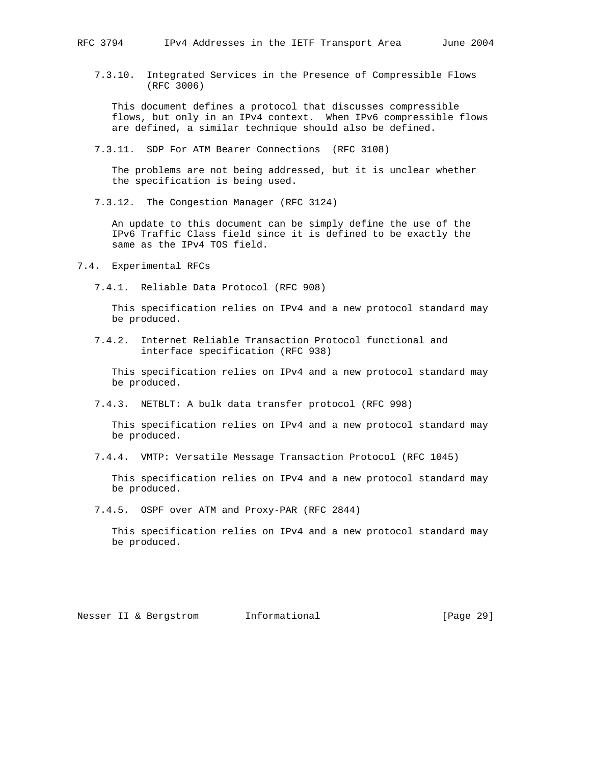7.3.10. Integrated Services in the Presence of Compressible Flows (RFC 3006)

 This document defines a protocol that discusses compressible flows, but only in an IPv4 context. When IPv6 compressible flows are defined, a similar technique should also be defined.

7.3.11. SDP For ATM Bearer Connections (RFC 3108)

 The problems are not being addressed, but it is unclear whether the specification is being used.

7.3.12. The Congestion Manager (RFC 3124)

 An update to this document can be simply define the use of the IPv6 Traffic Class field since it is defined to be exactly the same as the IPv4 TOS field.

7.4. Experimental RFCs

7.4.1. Reliable Data Protocol (RFC 908)

 This specification relies on IPv4 and a new protocol standard may be produced.

 7.4.2. Internet Reliable Transaction Protocol functional and interface specification (RFC 938)

 This specification relies on IPv4 and a new protocol standard may be produced.

7.4.3. NETBLT: A bulk data transfer protocol (RFC 998)

 This specification relies on IPv4 and a new protocol standard may be produced.

7.4.4. VMTP: Versatile Message Transaction Protocol (RFC 1045)

 This specification relies on IPv4 and a new protocol standard may be produced.

7.4.5. OSPF over ATM and Proxy-PAR (RFC 2844)

 This specification relies on IPv4 and a new protocol standard may be produced.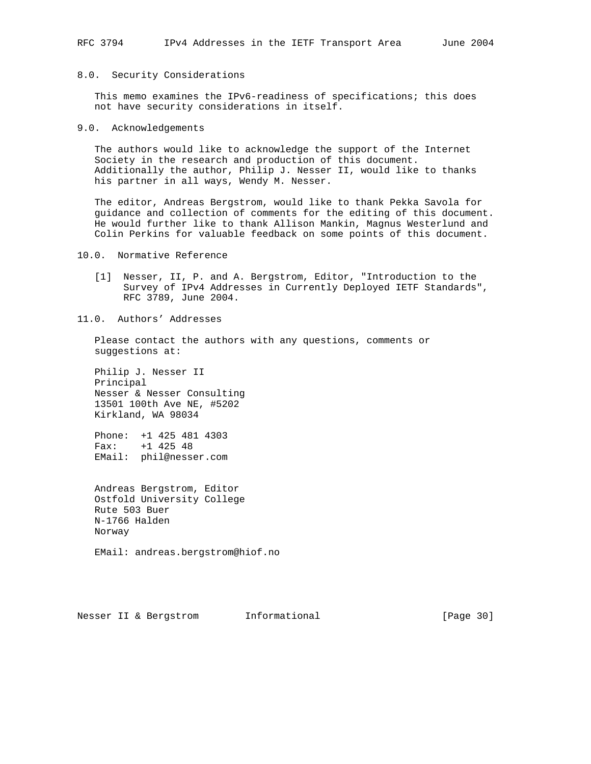## 8.0. Security Considerations

 This memo examines the IPv6-readiness of specifications; this does not have security considerations in itself.

#### 9.0. Acknowledgements

 The authors would like to acknowledge the support of the Internet Society in the research and production of this document. Additionally the author, Philip J. Nesser II, would like to thanks his partner in all ways, Wendy M. Nesser.

 The editor, Andreas Bergstrom, would like to thank Pekka Savola for guidance and collection of comments for the editing of this document. He would further like to thank Allison Mankin, Magnus Westerlund and Colin Perkins for valuable feedback on some points of this document.

## 10.0. Normative Reference

- [1] Nesser, II, P. and A. Bergstrom, Editor, "Introduction to the Survey of IPv4 Addresses in Currently Deployed IETF Standards", RFC 3789, June 2004.
- 11.0. Authors' Addresses

 Please contact the authors with any questions, comments or suggestions at:

 Philip J. Nesser II Principal Nesser & Nesser Consulting 13501 100th Ave NE, #5202 Kirkland, WA 98034

 Phone: +1 425 481 4303 Fax: +1 425 48 EMail: phil@nesser.com

 Andreas Bergstrom, Editor Ostfold University College Rute 503 Buer N-1766 Halden Norway

EMail: andreas.bergstrom@hiof.no